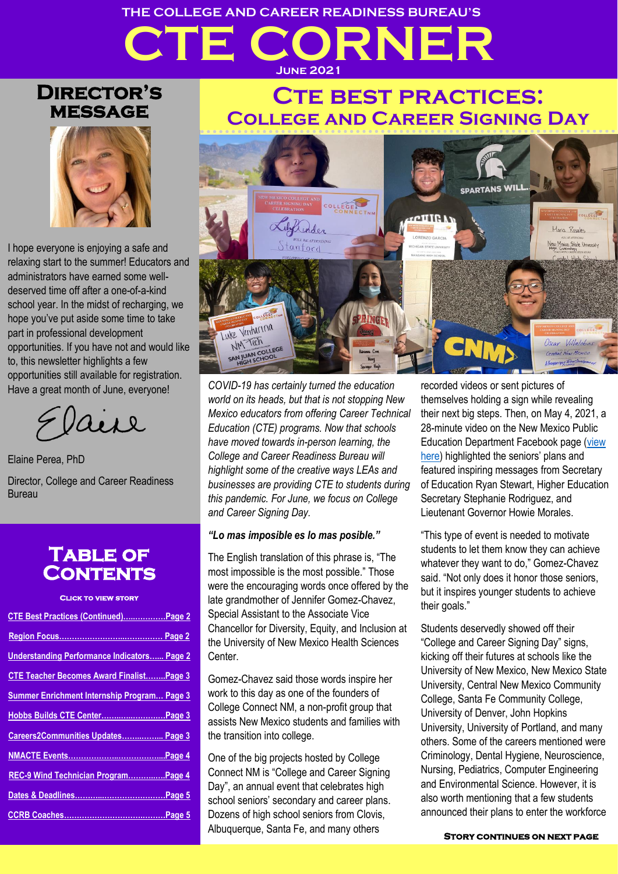# **CTE CORNER THE COLLEGE AND CAREER READINESS BUREAU'S June 2021**

### **Director's message**



I hope everyone is enjoying a safe and relaxing start to the summer! Educators and administrators have earned some welldeserved time off after a one-of-a-kind school year. In the midst of recharging, we hope you've put aside some time to take part in professional development opportunities. If you have not and would like to, this newsletter highlights a few opportunities still available for registration. Have a great month of June, everyone!

uil

Elaine Perea, PhD

Director, College and Career Readiness Bureau

### **Table of Contents**

#### **Click to view story**

| CTE Best Practices (Continued) Page 2              |
|----------------------------------------------------|
|                                                    |
| <b>Understanding Performance Indicators Page 2</b> |
| <b>CTE Teacher Becomes Award FinalistPage 3</b>    |
| Summer Enrichment Internship Program Page 3        |
| Hobbs Builds CTE Center Page 3                     |
| Careers2Communities Updates Page 3                 |
|                                                    |
| REC-9 Wind Technician ProgramPage 4                |
|                                                    |
|                                                    |

# **Cte best practices: College and Career Signing Day**



*COVID-19 has certainly turned the education world on its heads, but that is not stopping New Mexico educators from offering Career Technical Education (CTE) programs. Now that schools have moved towards in-person learning, the College and Career Readiness Bureau will highlight some of the creative ways LEAs and businesses are providing CTE to students during this pandemic. For June, we focus on College and Career Signing Day.*

#### *"Lo mas imposible es lo mas posible."*

The English translation of this phrase is, "The most impossible is the most possible." Those were the encouraging words once offered by the late grandmother of Jennifer Gomez-Chavez, Special Assistant to the Associate Vice Chancellor for Diversity, Equity, and Inclusion at the University of New Mexico Health Sciences **Center** 

Gomez-Chavez said those words inspire her work to this day as one of the founders of College Connect NM, a non-profit group that assists New Mexico students and families with the transition into college.

One of the big projects hosted by College Connect NM is "College and Career Signing Day", an annual event that celebrates high school seniors' secondary and career plans. Dozens of high school seniors from Clovis, Albuquerque, Santa Fe, and many others

recorded videos or sent pictures of themselves holding a sign while revealing their next big steps. Then, on May 4, 2021, a 28-minute video on the New Mexico Public Education Department Facebook page [\(view](https://www.facebook.com/101448571220321/videos/377495580151586)  [here\)](https://www.facebook.com/101448571220321/videos/377495580151586) highlighted the seniors' plans and featured inspiring messages from Secretary of Education Ryan Stewart, Higher Education Secretary Stephanie Rodriguez, and Lieutenant Governor Howie Morales.

"This type of event is needed to motivate students to let them know they can achieve whatever they want to do," Gomez-Chavez said. "Not only does it honor those seniors, but it inspires younger students to achieve their goals."

Students deservedly showed off their "College and Career Signing Day" signs, kicking off their futures at schools like the University of New Mexico, New Mexico State University, Central New Mexico Community College, Santa Fe Community College, University of Denver, John Hopkins University, University of Portland, and many others. Some of the careers mentioned were Criminology, Dental Hygiene, Neuroscience, Nursing, Pediatrics, Computer Engineering and Environmental Science. However, it is also worth mentioning that a few students announced their plans to enter the workforce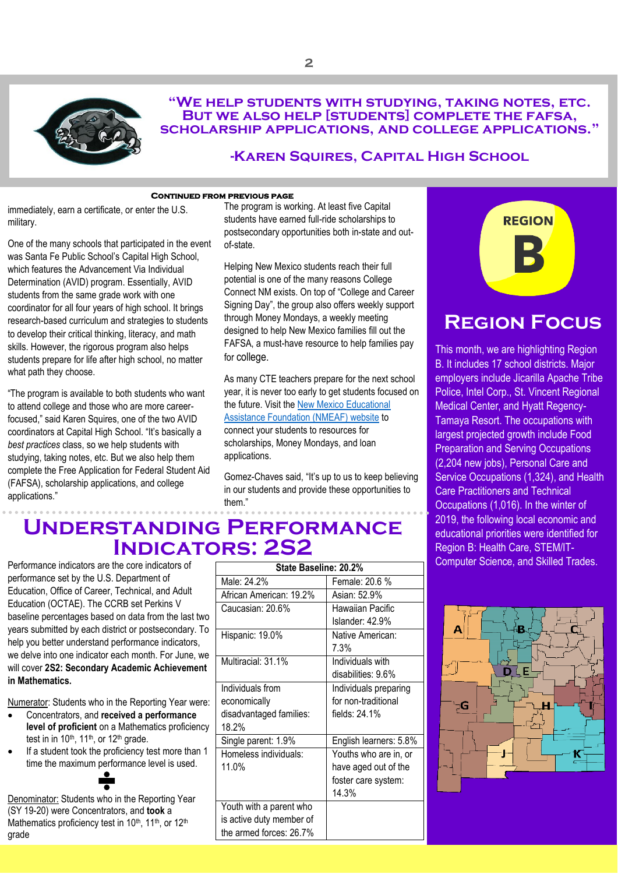

#### **"We help students with studying, taking notes, etc. But we also help [students] complete the fafsa, scholarship applications, and college applications."**

#### **-Karen Squires, Capital High School**

#### **Continued from previous page**

<span id="page-1-0"></span>immediately, earn a certificate, or enter the U.S.  military.

One of the many schools that participated in the event was Santa Fe Public School's Capital High School, which features the Advancement Via Individual Determination (AVID) program. Essentially, AVID students from the same grade work with one coordinator for all four years of high school. It brings research-based curriculum and strategies to students to develop their critical thinking, literacy, and math skills. However, the rigorous program also helps students prepare for life after high school, no matter what path they choose.

"The program is available to both students who want to attend college and those who are more careerfocused," said Karen Squires, one of the two AVID coordinators at Capital High School. "It's basically a *best practices* class, so we help students with studying, taking notes, etc. But we also help them complete the Free Application for Federal Student Aid (FAFSA), scholarship applications, and college applications."

The program is working. At least five Capital students have earned full-ride scholarships to postsecondary opportunities both in-state and outof-state.

Helping New Mexico students reach their full potential is one of the many reasons College Connect NM exists. On top of "College and Career Signing Day", the group also offers weekly support through Money Mondays, a weekly meeting designed to help New Mexico families fill out the FAFSA, a must-have resource to help families pay for college.

As many CTE teachers prepare for the next school year, it is never too early to get students focused on the future. Visit th[e New Mexico Educational](https://www.nmeaf.org/)  [Assistance Foundation \(NMEAF\) website](https://www.nmeaf.org/) to connect your students to resources for scholarships, Money Mondays, and loan applications.

Gomez-Chaves said, "It's up to us to keep believing in our students and provide these opportunities to them."



## <span id="page-1-1"></span>**Region Focus**

This month, we are highlighting Region B. It includes 17 school districts. Major employers include Jicarilla Apache Tribe Police, Intel Corp., St. Vincent Regional Medical Center, and Hyatt Regency-Tamaya Resort. The occupations with largest projected growth include Food Preparation and Serving Occupations (2,204 new jobs), Personal Care and Service Occupations (1,324), and Health Care Practitioners and Technical Occupations (1,016). In the winter of 2019, the following local economic and educational priorities were identified for Region B: Health Care, STEM/IT-Computer Science, and Skilled Trades.



## <span id="page-1-2"></span>**Understanding Performance Indicators: 2S2**

Performance indicators are the core indicators of performance set by the U.S. Department of Education, Office of Career, Technical, and Adult Education (OCTAE). The CCRB set Perkins V baseline percentages based on data from the last two years submitted by each district or postsecondary. To help you better understand performance indicators, we delve into one indicator each month. For June, we will cover **2S2: Secondary Academic Achievement in Mathematics.**

Numerator: Students who in the Reporting Year were:

- Concentrators, and **received a performance level of proficient** on a Mathematics proficiency test in in  $10<sup>th</sup>$ , 11<sup>th</sup>, or 12<sup>th</sup> grade.
- If a student took the proficiency test more than 1 time the maximum performance level is used.

Denominator: Students who in the Reporting Year (SY 19-20) were Concentrators, and **took** a Mathematics proficiency test in 10<sup>th</sup>, 11<sup>th</sup>, or 12<sup>th</sup> grade

| State Baseline: 20.2%<br>Male: 24.2%<br>Female: 20.6 %<br>African American: 19.2%<br>Asian: 52.9%<br>Hawaiian Pacific<br>Caucasian: 20.6%<br>Islander: 42.9%<br>Hispanic: 19.0%<br>Native American:<br>7.3%<br>Multiracial: 31.1%<br>Individuals with<br>disabilities: 9.6%<br>Individuals from<br>Individuals preparing<br>for non-traditional<br>economically<br>fields: 24.1%<br>disadvantaged families:<br>18.2%<br>Single parent: 1.9%<br>English learners: 5.8%<br>Homeless individuals:<br>Youths who are in, or<br>11.0%<br>have aged out of the<br>foster care system:<br>14.3%<br>Youth with a parent who<br>is active duty member of<br>the armed forces: 26.7% |  |  |  |
|----------------------------------------------------------------------------------------------------------------------------------------------------------------------------------------------------------------------------------------------------------------------------------------------------------------------------------------------------------------------------------------------------------------------------------------------------------------------------------------------------------------------------------------------------------------------------------------------------------------------------------------------------------------------------|--|--|--|
|                                                                                                                                                                                                                                                                                                                                                                                                                                                                                                                                                                                                                                                                            |  |  |  |
|                                                                                                                                                                                                                                                                                                                                                                                                                                                                                                                                                                                                                                                                            |  |  |  |
|                                                                                                                                                                                                                                                                                                                                                                                                                                                                                                                                                                                                                                                                            |  |  |  |
|                                                                                                                                                                                                                                                                                                                                                                                                                                                                                                                                                                                                                                                                            |  |  |  |
|                                                                                                                                                                                                                                                                                                                                                                                                                                                                                                                                                                                                                                                                            |  |  |  |
|                                                                                                                                                                                                                                                                                                                                                                                                                                                                                                                                                                                                                                                                            |  |  |  |
|                                                                                                                                                                                                                                                                                                                                                                                                                                                                                                                                                                                                                                                                            |  |  |  |
|                                                                                                                                                                                                                                                                                                                                                                                                                                                                                                                                                                                                                                                                            |  |  |  |
|                                                                                                                                                                                                                                                                                                                                                                                                                                                                                                                                                                                                                                                                            |  |  |  |
|                                                                                                                                                                                                                                                                                                                                                                                                                                                                                                                                                                                                                                                                            |  |  |  |
|                                                                                                                                                                                                                                                                                                                                                                                                                                                                                                                                                                                                                                                                            |  |  |  |
|                                                                                                                                                                                                                                                                                                                                                                                                                                                                                                                                                                                                                                                                            |  |  |  |
|                                                                                                                                                                                                                                                                                                                                                                                                                                                                                                                                                                                                                                                                            |  |  |  |
|                                                                                                                                                                                                                                                                                                                                                                                                                                                                                                                                                                                                                                                                            |  |  |  |
|                                                                                                                                                                                                                                                                                                                                                                                                                                                                                                                                                                                                                                                                            |  |  |  |
|                                                                                                                                                                                                                                                                                                                                                                                                                                                                                                                                                                                                                                                                            |  |  |  |
|                                                                                                                                                                                                                                                                                                                                                                                                                                                                                                                                                                                                                                                                            |  |  |  |
|                                                                                                                                                                                                                                                                                                                                                                                                                                                                                                                                                                                                                                                                            |  |  |  |
|                                                                                                                                                                                                                                                                                                                                                                                                                                                                                                                                                                                                                                                                            |  |  |  |
|                                                                                                                                                                                                                                                                                                                                                                                                                                                                                                                                                                                                                                                                            |  |  |  |
|                                                                                                                                                                                                                                                                                                                                                                                                                                                                                                                                                                                                                                                                            |  |  |  |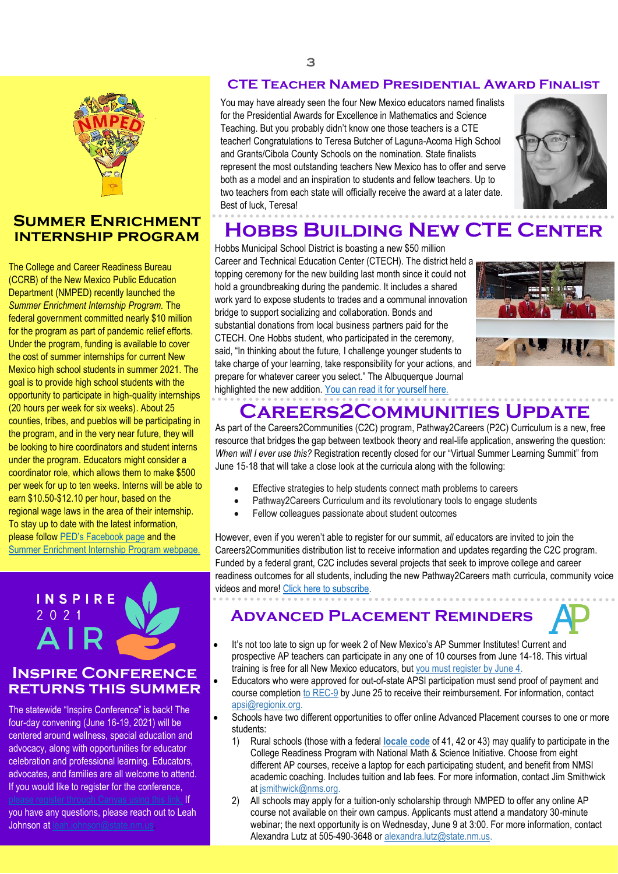

#### <span id="page-2-1"></span>**Summer Enrichment internship program**

The College and Career Readiness Bureau (CCRB) of the New Mexico Public Education Department (NMPED) recently launched the *Summer Enrichment Internship Program.* The federal government committed nearly \$10 million for the program as part of pandemic relief efforts. Under the program, funding is available to cover the cost of summer internships for current New Mexico high school students in summer 2021. The goal is to provide high school students with the opportunity to participate in high-quality internships (20 hours per week for six weeks). About 25 counties, tribes, and pueblos will be participating in the program, and in the very near future, they will be looking to hire coordinators and student interns under the program. Educators might consider a coordinator role, which allows them to make \$500 per week for up to ten weeks. Interns will be able to earn \$10.50-\$12.10 per hour, based on the regional wage laws in the area of their internship. To stay up to date with the latest information, please follow [PED's Facebook page](https://www.facebook.com/NMPublicEducationDepartment) and the [Summer Enrichment Internship Program webpage.](https://webnew.ped.state.nm.us/bureaus/college-career-readiness/summer-enrichment-internship-program/)



#### **Inspire Conference returns this summer**

The statewide "Inspire Conference" is back! The four-day convening (June 16-19, 2021) will be centered around wellness, special education and advocacy, along with opportunities for educator celebration and professional learning. Educators, advocates, and families are all welcome to attend. If you would like to register for the conference,

you have any questions, please reach out to Leah Johnson at [leah.johnson@state.nm.us.](mailto:leah.johnson@state.nm.us)

anvas using this link. If

### <span id="page-2-0"></span>**CTE Teacher Named Presidential Award Finalist**

HEADER PLACE HERE HERE IN THE HOST OUTSTANDING CALLETS NEW MEXICO HAS TO DIET AND SET You may have already seen the four New Mexico educators named finalists for the Presidential Awards for Excellence in Mathematics and Science Teaching. But you probably didn't know one those teachers is a CTE teacher! Congratulations to Teresa Butcher of Laguna-Acoma High School and Grants/Cibola County Schools on the nomination. State finalists represent the most outstanding teachers New Mexico has to offer and serve two teachers from each state will officially receive the award at a later date. Best of luck, Teresa!



# <span id="page-2-2"></span>**Hobbs Building New CTE Center**

Hobbs Municipal School District is boasting a new \$50 million Career and Technical Education Center (CTECH). The district held a topping ceremony for the new building last month since it could not hold a groundbreaking during the pandemic. It includes a shared work yard to expose students to trades and a communal innovation bridge to support socializing and collaboration. Bonds and substantial donations from local business partners paid for the CTECH. One Hobbs student, who participated in the ceremony, said, "In thinking about the future, I challenge younger students to take charge of your learning, take responsibility for your actions, and prepare for whatever career you select." The Albuquerque Journal highlighted the new addition. [You can read it for yourself here.](https://www.abqjournal.com/2386558/educator-guides-development-of-hobbs-tech-education-center.html)



# **Careers2Communities Update**

<span id="page-2-3"></span>As part of the Careers2Communities (C2C) program, Pathway2Careers (P2C) Curriculum is a new, free resource that bridges the gap between textbook theory and real-life application, answering the question: *When will I ever use this?* Registration recently closed for our "Virtual Summer Learning Summit" from June 15-18 that will take a close look at the curricula along with the following:

- Effective strategies to help students connect math problems to careers
- Pathway2Careers Curriculum and its revolutionary tools to engage students
- Fellow colleagues passionate about student outcomes

However, even if you weren't able to register for our summit, *all* educators are invited to join the Careers2Communities distribution list to receive information and updates regarding the C2C program. Funded by a federal grant, C2C includes several projects that seek to improve college and career readiness outcomes for all students, including the new Pathway2Careers math curricula, community voice videos and more! [Click here to subscribe.](https://www.careers2communities.com/news-events/newsletter)

### **Advanced Placement Reminders**

- 
- It's not too late to sign up for week 2 of New Mexico's AP Summer Institutes! Current and prospective AP teachers can participate in any one of 10 courses from June 14-18. This virtual training is free for all New Mexico educators, but [you must register by June 4.](https://web.cvent.com/event/788ecb7e-f865-4200-9b27-4846bdd79802/summary)
- Educators who were approved for out-of-state APSI participation must send proof of payment and course completion [to REC-9](mailto:apsi@regionix.org) by June 25 to receive their reimbursement. For information, contact [apsi@regionix.org.](mailto:apsi@regionix.org)
- Schools have two different opportunities to offer online Advanced Placement courses to one or more students:
	- 1) Rural schools (those with a federal **[locale code](https://nces.ed.gov/ccd/schooLSearch/index.asp)** of 41, 42 or 43) may qualify to participate in the College Readiness Program with National Math & Science Initiative. Choose from eight different AP courses, receive a laptop for each participating student, and benefit from NMSI academic coaching. Includes tuition and lab fees. For more information, contact Jim Smithwick a[t jsmithwick@nms.org.](mailto:jsmithwick@nms.org)
	- 2) All schools may apply for a tuition-only scholarship through NMPED to offer any online AP course not available on their own campus. Applicants must attend a mandatory 30-minute webinar; the next opportunity is on Wednesday, June 9 at 3:00. For more information, contact Alexandra Lutz at 505-490-3648 o[r alexandra.lutz@state.nm.us.](mailto:alexandra.lutz@state.nm.us)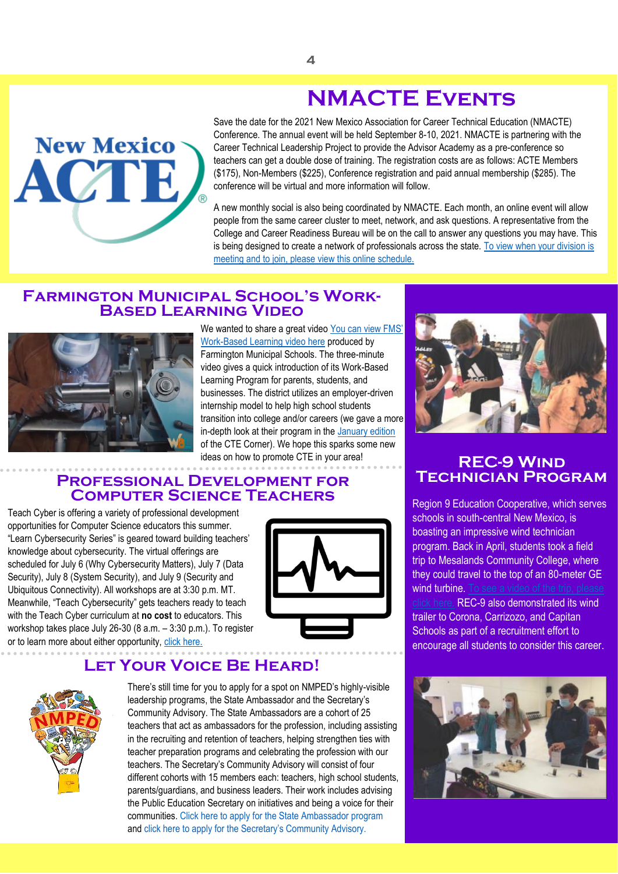# **NMACTE Events**



<span id="page-3-0"></span>Save the date for the 2021 New Mexico Association for Career Technical Education (NMACTE) Conference. The annual event will be held September 8-10, 2021. NMACTE is partnering with the Career Technical Leadership Project to provide the Advisor Academy as a pre-conference so teachers can get a double dose of training. The registration costs are as follows: ACTE Members (\$175), Non-Members (\$225), Conference registration and paid annual membership (\$285). The conference will be virtual and more information will follow.

A new monthly social is also being coordinated by NMACTE. Each month, an online event will allow people from the same career cluster to meet, network, and ask questions. A representative from the College and Career Readiness Bureau will be on the call to answer any questions you may have. This is being designed to create a network of professionals across the state. To view when your division is [meeting and to join, please view this online schedule.](https://drive.google.com/file/d/1FkVksSJVTE6QulnvnuKiGPg3os7Fp9Ra/view?usp=sharing)

#### **Farmington Municipal School's Work-Based Learning Video**



We wanted to share a great video [You can view](https://www.youtube.com/watch?v=w6037g45Bio) FMS' [Work-Based Learning video here](https://www.youtube.com/watch?v=w6037g45Bio) produced by Farmington Municipal Schools. The three-minute video gives a quick introduction of its Work-Based Learning Program for parents, students, and businesses. The district utilizes an employer-driven internship model to help high school students transition into college and/or careers (we gave a more in-depth look at their program in the [January edition](https://webnew.ped.state.nm.us/wp-content/uploads/2021/01/CTE-Corner_January.pdf) of the CTE Corner). We hope this sparks some new ideas on how to promote CTE in your area!

#### **Professional Development for Computer Science Teachers**

Teach Cyber is offering a variety of professional development opportunities for Computer Science educators this summer. "Learn Cybersecurity Series" is geared toward building teachers' knowledge about cybersecurity. The virtual offerings are scheduled for July 6 (Why Cybersecurity Matters), July 7 (Data Security), July 8 (System Security), and July 9 (Security and Ubiquitous Connectivity). All workshops are at 3:30 p.m. MT. Meanwhile, "Teach Cybersecurity" gets teachers ready to teach with the Teach Cyber curriculum at **no cost** to educators. This workshop takes place July 26-30 (8 a.m. – 3:30 p.m.). To register or to learn more about either opportunity, [click here.](https://protect-us.mimecast.com/s/hc3SClYmwKfDmjr9F1_IiE?domain=teachcyber.org)



### **Let Your Voice Be Heard!**



There's still time for you to apply for a spot on NMPED's highly-visible leadership programs, the State Ambassador and the Secretary's Community Advisory. The State Ambassadors are a cohort of 25 teachers that act as ambassadors for the profession, including assisting in the recruiting and retention of teachers, helping strengthen ties with teacher preparation programs and celebrating the profession with our teachers. The Secretary's Community Advisory will consist of four different cohorts with 15 members each: teachers, high school students, parents/guardians, and business leaders. Their work includes advising the Public Education Secretary on initiatives and being a voice for their communities. Click here to apply for the State Ambassador program and click here to apply for the Secretary's Community Advisory.



### <span id="page-3-1"></span>**REC-9 Wind Technician Program**

Region 9 Education Cooperative, which serves schools in south-central New Mexico, is boasting an impressive wind technician program. Back in April, students took a field trip to Mesalands Community College, where they could travel to the top of an 80-meter GE wind turbine. To see a video of the trip, please

[click here.](https://protect-us.mimecast.com/s/3J1PCQW2z3imEGz4FxhdTx?domain=youtu.be) REC-9 also demonstrated its wind trailer to Corona, Carrizozo, and Capitan Schools as part of a recruitment effort to encourage all students to consider this career.